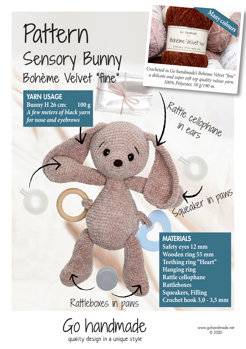# Pattern Sensory Bunny Bohème Velvet "fine"

YARN USAGE **Bunny H 26 cm: 100 g** *A few meters of black yarn for nose and eyebrows*



*Crocheted in Go handmade's Bohème Velvet "fine" - a delicate and super soft top quality velour yarn: 100% Polyester, 50 g/190 m.* 

Rattle cellophane

**MATERIALS Safety eyes 12 mm**

**Wooden ring 55 mm Teething ring "Heart" Hanging ring Rattle cellophane Rattleboxes Squeakers, Filling Crochet hook 3,0 - 3,5 mm**

Saveaker in paws

Rattleboxes in paws



quality design in a unique style

www.gohandmade.net © 2020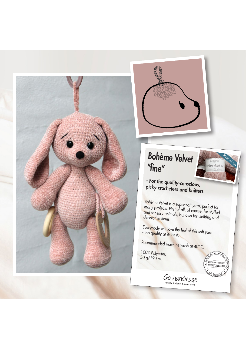



# Bohème Velvet "fine"

## - For the quality-conscious, picky crocheters and knitters

B<mark>oh</mark>ème Velvet is a super-soft yarn, perfect for<br><sup>many</sup> projects. First - L. II. c. many projects. First of all, of course, for stuffed<br>and sensory animals, but also for clothing and<br>decorative items.

Everybody will love the feel of this soft yarn<br>- top quality at its best.

Go handmade

Recommended machine wash at 40º C.

100% Polyester, 50 g/190 m.



**Many colours**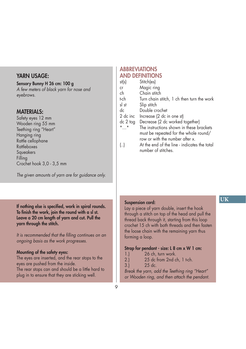#### YARN USAGE:

#### Sensory Bunny H 26 cm: 100 g

*A few meters of black yarn for nose and eyebrows.*

#### MATERIALS:

Safety eyes 12 mm Wooden ring 55 mm Teething ring "Heart" Hanging ring Rattle cellophane **Rattleboxes Squeakers** Filling Crochet hook 3,0 - 3,5 mm

*The given amounts of yarn are for guidance only.*

#### If nothing else is specified, work in spiral rounds. To finish the work, join the round with a sl st. Leave a 20 cm length of yarn and cut. Pull the yarn through the stitch.

*It is recommended that the filling continues on an ongoing basis as the work progresses.*

#### Mounting of the safety eyes:

The eyes are inserted, and the rear stops to the eyes are pushed from the inside.

The rear stops can and should be a little hard to plug in to ensure that they are sticking well.

#### **ABBREVIATIONS** AND DEFINITIONS

- st(s) Stitch(es)
- cr Magic ring
- ch Chain stitch
- t-ch Turn chain stitch, 1 ch then turn the work
- sl st Slip stitch
- dc Double crochet
- 2 dc inc Increase (2 dc in one st)
- dc 2 tog Decrease (2 dc worked together)
- \*…\* The instructions shown in these brackets must be repeated for the whole round/ row or with the number after x.
- (..) At the end of the line indicates the total number of stitches.

#### Suspension cord:

Lay a piece of yarn double, insert the hook through a stitch on top of the head and pull the thread back through it, starting from this loop crochet 15 ch with both threads and then fasten the loose chain with the remaining yarn thus forming a loop.

#### Strap for pendant - size: L 8 cm x W 1 cm:

- 1.) 26 ch, turn work.
- 2.) 25 dc from 2nd ch, 1 t-ch.
- 3.) 25 dc.

*Break the yarn, add the Teething ring "Heart" or Wooden ring, and then attach the pendant.*

#### **UK**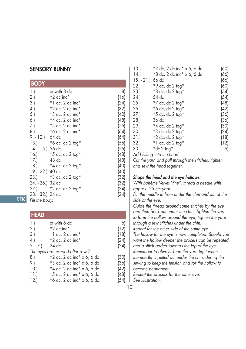#### SENSORY BUNNY

| <b>BODY</b>      |                            |      |
|------------------|----------------------------|------|
| 1.               | cr with 8 dc               | (8)  |
| 2.               | $*2$ dc inc $*$            | (16) |
| 3.)              | $*1$ dc, 2 dc inc $*$      | (24) |
| 4.               | $*2$ dc, 2 dc inc $*$      | (32) |
| 5.               | *3 dc, 2 dc inc*           | (40) |
| 6.)              | *4 dc, 2 dc inc*           | (48) |
| 7.)              | $*5$ dc, 2 dc inc $*$      | (56) |
| 8.               | *6 dc, 2 dc inc*           | (64) |
| 9. - 12.) 64 dc  |                            | (64) |
| 13.)             | *6 dc, dc 2 tog*           | (56) |
| 14. - 15.) 56 dc |                            | (56) |
|                  | 16.) $*5$ dc, dc 2 tog*    | (48) |
| 17.              | 48 dc                      | (48) |
|                  | 18.) $*4$ dc, dc 2 tog $*$ | (40) |
| 19. - 22.) 40 dc |                            | (40) |
|                  | 23.) *3 dc, dc 2 tog*      | (32) |
| 24. - 26.) 32 dc |                            | (32) |
|                  | 27.) *2 dc, dc 2 tog*      | (24) |
| 28. - 32.) 24 dc |                            | (24) |
| Fill the body.   |                            |      |

**UK**

#### **HFAD**

| 1.        | cr with 6 dc                          | (6)  |
|-----------|---------------------------------------|------|
| 2.1       | $*2$ dc inc $*$                       | (12) |
| 3.)       | $*1$ dc, 2 dc inc $*$                 | (18) |
| (4)       | $*2$ dc, 2 dc inc $*$                 | (24) |
| $5. - 7.$ | 24 dc                                 | (24) |
|           | The eyes are inserted after row 7.    |      |
| 8.1       | *2 dc, 2 dc inc* x 6, 6 dc            | (30) |
| 9.)       | *3 dc, 2 dc inc* x 6, 6 dc            | (36) |
| 10.1      | $*4$ dc, 2 dc inc $* \times 6$ , 6 dc | (42) |
| 11.       | *5 dc, 2 dc inc* x 6, 6 dc            | (48) |
| 12.       | *6 dc, 2 dc inc* x 6, 6 dc            | (54) |
|           |                                       |      |

| 13.              | *7 dc, 2 dc inc* x 6, 6 dc | (60) |
|------------------|----------------------------|------|
| 14.              | *8 dc, 2 dc inc* x 6, 6 dc | (66) |
| 15. - 21.) 66 dc |                            | (66) |
| 22.              | *9 dc, dc 2 tog*           | (60) |
| 23.              | $*8$ dc, dc 2 tog $*$      | (54) |
| 24.1             | 54 dc                      | (54) |
| 25.1             | $*7$ dc, dc 2 tog $*$      | (48) |
| 26.)             | $*$ 6 dc, dc 2 tog $*$     | (42) |
| 27.              | $*5$ dc, dc 2 tog $*$      | (36) |
| 28.1             | 36 dc                      | (36) |
| 29.)             | $*4$ dc, dc 2 tog $*$      | (30) |
| 30.)             | $*3$ dc, dc 2 tog $*$      | (24) |
| 31.)             | $*2$ dc, dc 2 tog $*$      | (18) |
| 32.)             | $*1$ dc, dc 2 tog $*$      | (12) |
| 33.)             | *dc 2 tog*                 | (6)  |
|                  |                            |      |

*Add Filling into the head.*

*Cut the yarn and pull through the stitches, tighten and sew the head together.*

#### *Shape the head and the eye hollows:*

*With Bohème Velvet "fine", thread a needle with approx. 25 cm yarn.*

*Put the needle in from under the chin and out at the side of the eye.*

*Guide the thread around some stitches by the eye and then back out under the chin. Tighten the yarn to form the hollow around the eye, tighten the yarn through a few stitches under the chin.*

*Repeat for the other side of the same eye.*

*The hollow for the eye is now completed. Should you want the hollow deeper the process can be repeated and a stitch added towards the top of the eye.* 

*Remember to always keep the yarn tight when the needle is pulled out under the chin, during the* 

*sewing to keep the tension and for the hollow to become permanent.*

*Repeat the process for the other eye.*

*See illustration.*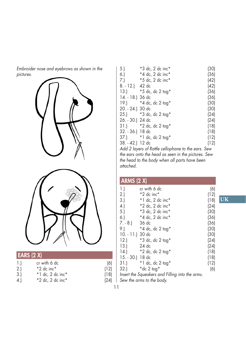*Embroider nose and eyebrows as shown in the pictures.*





| 1.  | cr with 6 dc          | (6)  |
|-----|-----------------------|------|
| 2.  | $*2$ dc inc $*$       | (12) |
| 3.) | $*1$ dc, 2 dc inc $*$ | (18) |

4.) \*2 dc, 2 dc inc\* (24)

| 5.               | *3 dc, 2 dc inc*      | (30) |
|------------------|-----------------------|------|
| 6.               | *4 dc, 2 dc inc*      | (36) |
| 7.               | *5 dc, 2 dc inc*      | (42) |
| 8. - 12.) 42 dc  |                       | (42) |
| 13.              | *5 dc, dc 2 tog*      | (36) |
| 14. - 18.) 36 dc |                       | (36) |
| 19.)             | *4 dc, dc 2 tog*      | (30) |
| 20. - 24.) 30 dc |                       | (30) |
| (25.)            | *3 dc, dc 2 tog*      | (24) |
| 26. - 30.) 24 dc |                       | (24) |
| 31.)             | *2 dc, dc 2 tog*      | (18) |
| 32. - 36.) 18 dc |                       | (18) |
|                  | 37.) *1 dc, dc 2 tog* | (12) |
| 38. - 42.) 12 dc |                       | (12) |
|                  |                       |      |

*Add 2 layers of Rattle cellophane to the ears. Sew the ears onto the head as seen in the pictures. Sew the head to the body when all parts have been attached.* 

| <b>ARMS (2 X)</b>                               |                        |      |  |
|-------------------------------------------------|------------------------|------|--|
| 1.                                              | cr with 6 dc           | (6)  |  |
| 2.                                              | $*2$ dc inc $*$        | (12) |  |
| 3.                                              | $*1$ dc, 2 dc inc $*$  | (18) |  |
| 4.                                              | *2 dc, 2 dc inc*       | (24) |  |
| 5.                                              | *3 dc, 2 dc inc*       | (30) |  |
| 6.                                              | *4 dc, 2 dc inc*       | (36) |  |
| $7. - 8.$                                       | 36 dc                  | (36) |  |
| 9.)                                             | $*$ 4 dc, dc 2 tog $*$ | (30) |  |
| $10. - 11$ .) $30$ dc                           |                        | (30) |  |
| 12.1                                            | *3 dc, dc 2 tog*       | (24) |  |
| 13.                                             | 24 dc                  | (24) |  |
| 14.                                             | $*2$ dc, dc 2 tog $*$  | (18) |  |
| 15. - 30.) 18 dc                                |                        | (18) |  |
| 31.)                                            | $*1$ dc, dc 2 tog $*$  | (12) |  |
| 32.1                                            | *dc 2 tog*             | (6)  |  |
| Insert the Squeakers and Filling into the arms. |                        |      |  |

**UK**

*Sew the arms to the body.*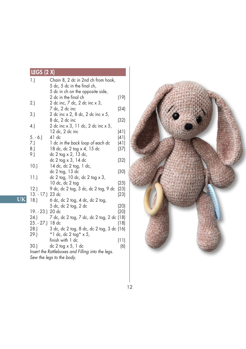## LEGS (2 X)

**UK**

| 1.<br>Chain 8, 2 dc in 2nd ch from hook,              |      |
|-------------------------------------------------------|------|
| 5 dc, 5 dc in the final ch,                           |      |
| 5 dc in ch on the opposite side,                      |      |
| 2 dc in the final ch                                  | (19) |
| 2 dc inc, 7 dc, 2 dc inc x 3,<br>2.                   |      |
| 7 dc, 2 dc inc                                        | (24) |
| 3.<br>2 dc inc x 2, 8 dc, 2 dc inc x 5,               |      |
| 8 dc, 2 dc inc                                        | (32) |
| 4.<br>2 dc inc x 3, 11 dc, 2 dc inc x 5,              |      |
| 12 dc, 2 dc inc                                       | (41) |
| 41 dc<br>$5. - 6.$                                    | (41) |
| 1 dc in the back loop of each dc<br>7.)               | (41) |
| 8.<br>18 dc, dc 2 tog x 4, 15 dc                      | (37) |
| dc 2 tog x 2, 13 dc,<br>9.)                           |      |
| dc 2 tog x 3, 14 dc                                   | (32) |
| 10.<br>14 dc, dc 2 tog, 1 dc,                         |      |
| dc 2 tog, 13 dc                                       | (30) |
| dc $2$ tog, $10$ dc, dc $2$ tog $\times$ $3$ ,<br>11. |      |
| 10 dc, dc 2 tog                                       | (25) |
| 12.<br>9 dc, dc 2 tog, 3 dc, dc 2 tog, 9 dc           | (23) |
| 13. - 17.) 23 dc                                      | (23) |
| 18.)<br>6 dc, dc 2 tog, 4 dc, dc 2 tog,               |      |
| 5 dc, dc 2 tog, 2 dc                                  | (20) |
| 19. - 23.) 20 dc                                      | (20) |
| 7 dc, dc 2 tog, 7 dc, dc 2 tog, 2 dc (18)<br>24.)     |      |
| 25. - 27.) 18 dc                                      | (18) |
| 3 dc, dc 2 tog, 8 dc, dc 2 tog, 3 dc (16)<br>28.)     |      |
| 29.)<br>$*1$ dc, dc 2 tog $* \times 5$ ,              |      |
| finish with 1 dc                                      | (11) |
| 30.)<br>dc $2$ tog $\times$ 5, 1 dc                   | (6)  |
| Insert the Rattleboxes and Filling into the legs.     |      |
| Sew the legs to the body.                             |      |